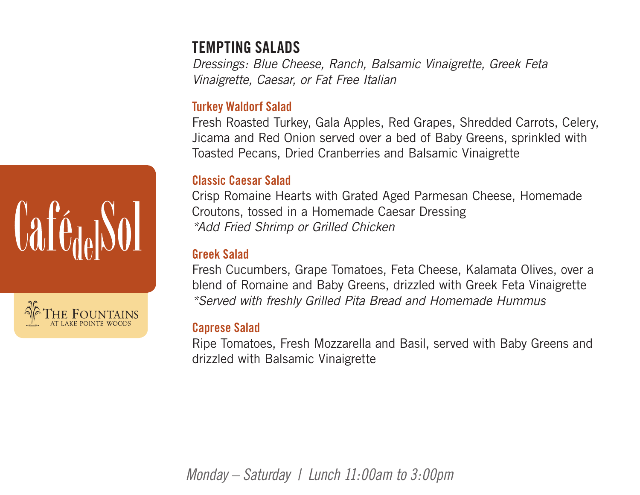# **TEMPTING SALADS**

*Dressings: Blue Cheese, Ranch, Balsamic Vinaigrette, Greek Feta Vinaigrette, Caesar, or Fat Free Italian*

#### **Turkey Waldorf Salad**

Fresh Roasted Turkey, Gala Apples, Red Grapes, Shredded Carrots, Celery, Jicama and Red Onion served over a bed of Baby Greens, sprinkled with Toasted Pecans, Dried Cranberries and Balsamic Vinaigrette

#### **Classic Caesar Salad**

Crisp Romaine Hearts with Grated Aged Parmesan Cheese, Homemade Croutons, tossed in a Homemade Caesar Dressing *\*Add Fried Shrimp or Grilled Chicken*

#### **Greek Salad**

**Café<sub>de</sub>ISol** 

Fresh Cucumbers, Grape Tomatoes, Feta Cheese, Kalamata Olives, over a blend of Romaine and Baby Greens, drizzled with Greek Feta Vinaigrette *\*Served with freshly Grilled Pita Bread and Homemade Hummus*

#### **Caprese Salad**

Ripe Tomatoes, Fresh Mozzarella and Basil, served with Baby Greens and drizzled with Balsamic Vinaigrette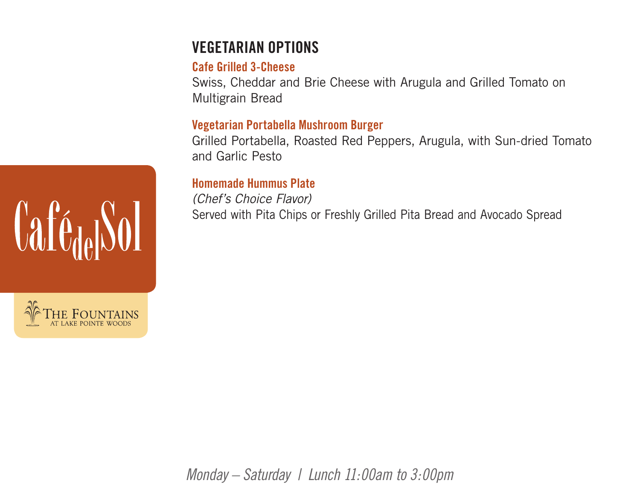# **VEGETARIAN OPTIONS**

#### **Cafe Grilled 3-Cheese**

Swiss, Cheddar and Brie Cheese with Arugula and Grilled Tomato on Multigrain Bread

#### **Vegetarian Portabella Mushroom Burger**

Grilled Portabella, Roasted Red Peppers, Arugula, with Sun-dried Tomato and Garlic Pesto

## **Homemade Hummus Plate**

*(Chef's Choice Flavor)*  Served with Pita Chips or Freshly Grilled Pita Bread and Avocado Spread



*CafédeSol*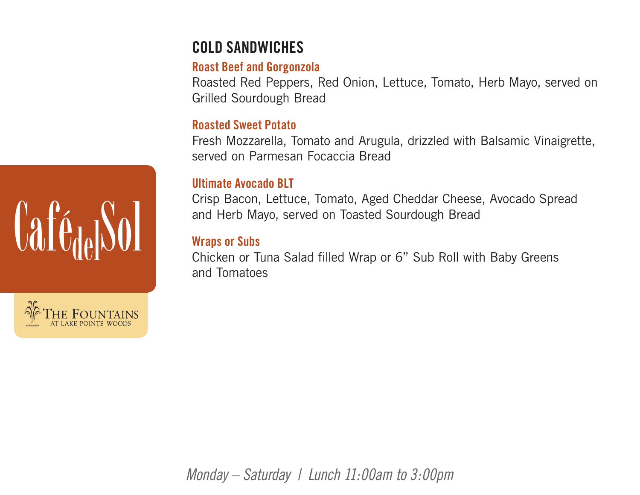# **COLD SANDWICHES**

### **Roast Beef and Gorgonzola**

Roasted Red Peppers, Red Onion, Lettuce, Tomato, Herb Mayo, served on Grilled Sourdough Bread

## **Roasted Sweet Potato**

Fresh Mozzarella, Tomato and Arugula, drizzled with Balsamic Vinaigrette, served on Parmesan Focaccia Bread

# **Ultimate Avocado BLT**

Crisp Bacon, Lettuce, Tomato, Aged Cheddar Cheese, Avocado Spread and Herb Mayo, served on Toasted Sourdough Bread

## **Wraps or Subs**

Chicken or Tuna Salad filled Wrap or 6" Sub Roll with Baby Greens and Tomatoes



 $0afc_0S_0$